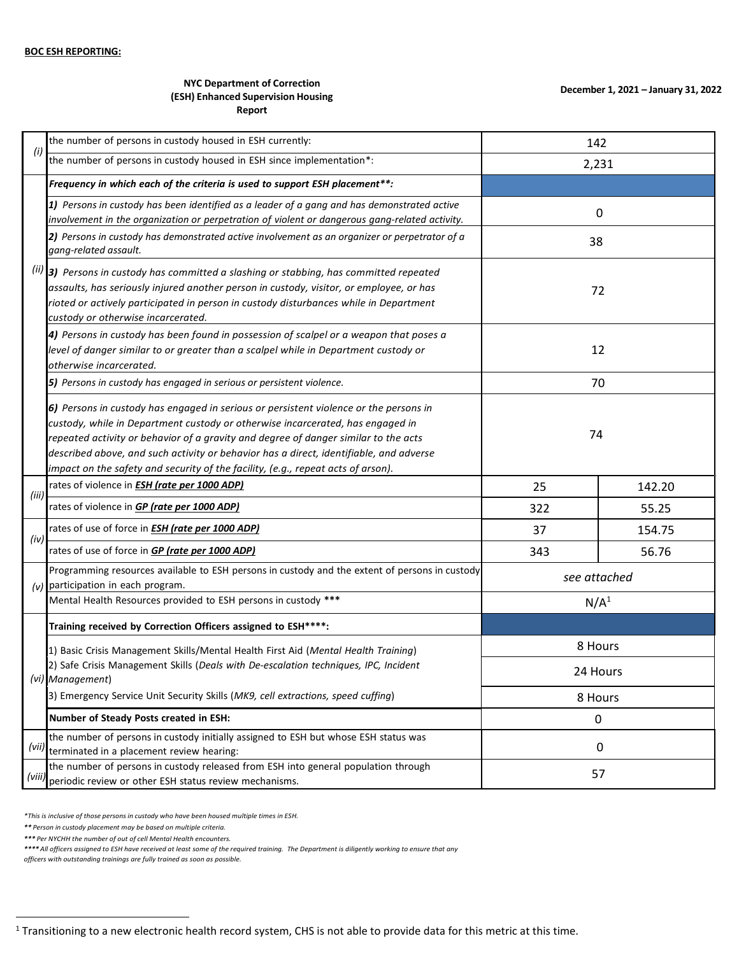## **NYC Department of Correction (ESH) Enhanced Supervision Housing Report**

|       | the number of persons in custody housed in ESH currently:                                                                                                                                                                                                                                                                                                                                                                                    | 142                                                                                                        |        |
|-------|----------------------------------------------------------------------------------------------------------------------------------------------------------------------------------------------------------------------------------------------------------------------------------------------------------------------------------------------------------------------------------------------------------------------------------------------|------------------------------------------------------------------------------------------------------------|--------|
| (i)   | the number of persons in custody housed in ESH since implementation*:                                                                                                                                                                                                                                                                                                                                                                        | 2,231                                                                                                      |        |
|       | Frequency in which each of the criteria is used to support ESH placement**:                                                                                                                                                                                                                                                                                                                                                                  |                                                                                                            |        |
|       | 1) Persons in custody has been identified as a leader of a gang and has demonstrated active<br>involvement in the organization or perpetration of violent or dangerous gang-related activity.                                                                                                                                                                                                                                                | 0                                                                                                          |        |
|       | 2) Persons in custody has demonstrated active involvement as an organizer or perpetrator of a<br>gang-related assault.                                                                                                                                                                                                                                                                                                                       | 38                                                                                                         |        |
|       | $(iii)$ 3) Persons in custody has committed a slashing or stabbing, has committed repeated<br>assaults, has seriously injured another person in custody, visitor, or employee, or has<br>rioted or actively participated in person in custody disturbances while in Department<br>custody or otherwise incarcerated.                                                                                                                         |                                                                                                            |        |
|       | 4) Persons in custody has been found in possession of scalpel or a weapon that poses a<br>level of danger similar to or greater than a scalpel while in Department custody or<br>otherwise incarcerated.                                                                                                                                                                                                                                     | 12                                                                                                         |        |
|       | 5) Persons in custody has engaged in serious or persistent violence.                                                                                                                                                                                                                                                                                                                                                                         | 70                                                                                                         |        |
|       | 6) Persons in custody has engaged in serious or persistent violence or the persons in<br>custody, while in Department custody or otherwise incarcerated, has engaged in<br>repeated activity or behavior of a gravity and degree of danger similar to the acts<br>described above, and such activity or behavior has a direct, identifiable, and adverse<br>impact on the safety and security of the facility, (e.g., repeat acts of arson). | 74                                                                                                         |        |
|       | rates of violence in ESH (rate per 1000 ADP)                                                                                                                                                                                                                                                                                                                                                                                                 | 72<br>25<br>322<br>37<br>343<br>N/A <sup>1</sup><br>8 Hours<br>24 Hours<br>8 Hours<br>0<br>$\pmb{0}$<br>57 | 142.20 |
| (iii) | rates of violence in <b>GP (rate per 1000 ADP)</b>                                                                                                                                                                                                                                                                                                                                                                                           |                                                                                                            | 55.25  |
| (iv)  | rates of use of force in <b>ESH (rate per 1000 ADP)</b>                                                                                                                                                                                                                                                                                                                                                                                      |                                                                                                            | 154.75 |
|       | rates of use of force in <b>GP (rate per 1000 ADP)</b>                                                                                                                                                                                                                                                                                                                                                                                       |                                                                                                            | 56.76  |
| (v)   | Programming resources available to ESH persons in custody and the extent of persons in custody<br>participation in each program.                                                                                                                                                                                                                                                                                                             | see attached                                                                                               |        |
|       | Mental Health Resources provided to ESH persons in custody ***                                                                                                                                                                                                                                                                                                                                                                               |                                                                                                            |        |
|       | Training received by Correction Officers assigned to ESH****:                                                                                                                                                                                                                                                                                                                                                                                |                                                                                                            |        |
|       | 1) Basic Crisis Management Skills/Mental Health First Aid (Mental Health Training)<br>2) Safe Crisis Management Skills (Deals with De-escalation techniques, IPC, Incident                                                                                                                                                                                                                                                                   |                                                                                                            |        |
|       | (vi) Management)                                                                                                                                                                                                                                                                                                                                                                                                                             |                                                                                                            |        |
|       | 3) Emergency Service Unit Security Skills (MK9, cell extractions, speed cuffing)                                                                                                                                                                                                                                                                                                                                                             |                                                                                                            |        |
|       | Number of Steady Posts created in ESH:                                                                                                                                                                                                                                                                                                                                                                                                       |                                                                                                            |        |
| (vii) | the number of persons in custody initially assigned to ESH but whose ESH status was<br>terminated in a placement review hearing:                                                                                                                                                                                                                                                                                                             |                                                                                                            |        |
| (viii | the number of persons in custody released from ESH into general population through<br>periodic review or other ESH status review mechanisms.                                                                                                                                                                                                                                                                                                 |                                                                                                            |        |

*\*This is inclusive of those persons in custody who have been housed multiple times in ESH.*

*\*\* Person in custody placement may be based on multiple criteria.*

*\*\*\* Per NYCHH the number of out of cell Mental Health encounters.*

\*\*\*\* All officers assigned to ESH have received at least some of the required training. The Department is diligently working to ensure that any

*officers with outstanding trainings are fully trained as soon as possible.*

 $1$  Transitioning to a new electronic health record system, CHS is not able to provide data for this metric at this time.